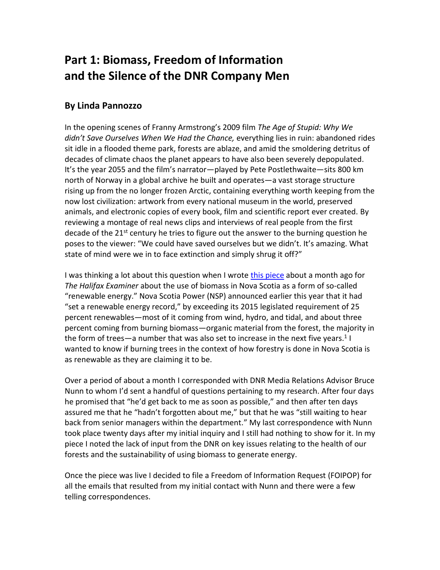# **Part 1: Biomass, Freedom of Information and the Silence of the DNR Company Men**

## **By Linda Pannozzo**

In the opening scenes of Franny Armstrong's 2009 film *The Age of Stupid: Why We didn't Save Ourselves When We Had the Chance,* everything lies in ruin: abandoned rides sit idle in a flooded theme park, forests are ablaze, and amid the smoldering detritus of decades of climate chaos the planet appears to have also been severely depopulated. It's the year 2055 and the film's narrator—played by Pete Postlethwaite—sits 800 km north of Norway in a global archive he built and operates—a vast storage structure rising up from the no longer frozen Arctic, containing everything worth keeping from the now lost civilization: artwork from every national museum in the world, preserved animals, and electronic copies of every book, film and scientific report ever created. By reviewing a montage of real news clips and interviews of real people from the first decade of the 21<sup>st</sup> century he tries to figure out the answer to the burning question he poses to the viewer: "We could have saved ourselves but we didn't. It's amazing. What state of mind were we in to face extinction and simply shrug it off?"

I was thinking a lot about this question when I wrot[e this piece](https://www.halifaxexaminer.ca/province-house/feeding-the-fire/) about a month ago for *The Halifax Examiner* about the use of biomass in Nova Scotia as a form of so-called "renewable energy." Nova Scotia Power (NSP) announced earlier this year that it had "set a renewable energy record," by exceeding its 2015 legislated requirement of 25 percent renewables—most of it coming from wind, hydro, and tidal, and about three percent coming from burning biomass—organic material from the forest, the majority in the form of trees—a number that was also set to increase in the next five years.<sup>1</sup> I wanted to know if burning trees in the context of how forestry is done in Nova Scotia is as renewable as they are claiming it to be.

Over a period of about a month I corresponded with DNR Media Relations Advisor Bruce Nunn to whom I'd sent a handful of questions pertaining to my research. After four days he promised that "he'd get back to me as soon as possible," and then after ten days assured me that he "hadn't forgotten about me," but that he was "still waiting to hear back from senior managers within the department." My last correspondence with Nunn took place twenty days after my initial inquiry and I still had nothing to show for it. In my piece I noted the lack of input from the DNR on key issues relating to the health of our forests and the sustainability of using biomass to generate energy.

Once the piece was live I decided to file a Freedom of Information Request (FOIPOP) for all the emails that resulted from my initial contact with Nunn and there were a few telling correspondences.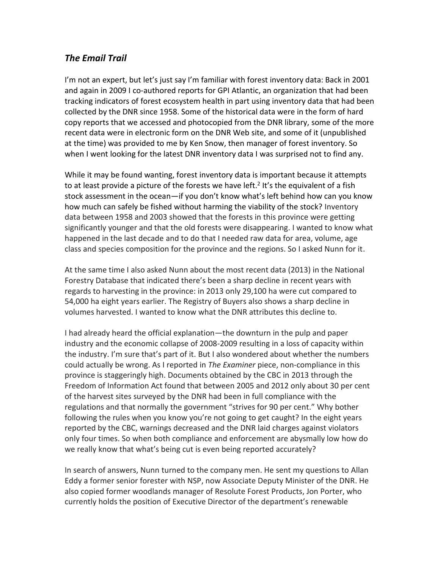#### *The Email Trail*

I'm not an expert, but let's just say I'm familiar with forest inventory data: Back in 2001 and again in 2009 I co-authored reports for GPI Atlantic, an organization that had been tracking indicators of forest ecosystem health in part using inventory data that had been collected by the DNR since 1958. Some of the historical data were in the form of hard copy reports that we accessed and photocopied from the DNR library, some of the more recent data were in electronic form on the DNR Web site, and some of it (unpublished at the time) was provided to me by Ken Snow, then manager of forest inventory. So when I went looking for the latest DNR inventory data I was surprised not to find any.

While it may be found wanting, forest inventory data is important because it attempts to at least provide a picture of the forests we have left.<sup>2</sup> It's the equivalent of a fish stock assessment in the ocean—if you don't know what's left behind how can you know how much can safely be fished without harming the viability of the stock? Inventory data between 1958 and 2003 showed that the forests in this province were getting significantly younger and that the old forests were disappearing. I wanted to know what happened in the last decade and to do that I needed raw data for area, volume, age class and species composition for the province and the regions. So I asked Nunn for it.

At the same time I also asked Nunn about the most recent data (2013) in the National Forestry Database that indicated there's been a sharp decline in recent years with regards to harvesting in the province: in 2013 only 29,100 ha were cut compared to 54,000 ha eight years earlier. The Registry of Buyers also shows a sharp decline in volumes harvested. I wanted to know what the DNR attributes this decline to.

I had already heard the official explanation—the downturn in the pulp and paper industry and the economic collapse of 2008-2009 resulting in a loss of capacity within the industry. I'm sure that's part of it. But I also wondered about whether the numbers could actually be wrong. As I reported in *The Examiner* piece, non-compliance in this province is staggeringly high. Documents obtained by the CBC in 2013 through the Freedom of Information Act found that between 2005 and 2012 only about 30 per cent of the harvest sites surveyed by the DNR had been in full compliance with the regulations and that normally the government "strives for 90 per cent." Why bother following the rules when you know you're not going to get caught? In the eight years reported by the CBC, warnings decreased and the DNR laid charges against violators only four times. So when both compliance and enforcement are abysmally low how do we really know that what's being cut is even being reported accurately?

In search of answers, Nunn turned to the company men. He sent my questions to Allan Eddy a former senior forester with NSP, now Associate Deputy Minister of the DNR. He also copied former woodlands manager of Resolute Forest Products, Jon Porter, who currently holds the position of Executive Director of the department's renewable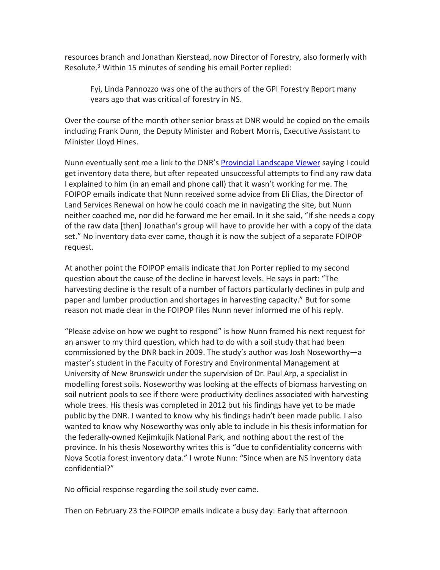resources branch and Jonathan Kierstead, now Director of Forestry, also formerly with Resolute.<sup>3</sup> Within 15 minutes of sending his email Porter replied:

Fyi, Linda Pannozzo was one of the authors of the GPI Forestry Report many years ago that was critical of forestry in NS.

Over the course of the month other senior brass at DNR would be copied on the emails including Frank Dunn, the Deputy Minister and Robert Morris, Executive Assistant to Minister Lloyd Hines.

Nunn eventually sent me a link to the DNR's [Provincial Landscape Viewer](https://novascotia.ca/natr/landscape/) saying I could get inventory data there, but after repeated unsuccessful attempts to find any raw data I explained to him (in an email and phone call) that it wasn't working for me. The FOIPOP emails indicate that Nunn received some advice from Eli Elias, the Director of Land Services Renewal on how he could coach me in navigating the site, but Nunn neither coached me, nor did he forward me her email. In it she said, "If she needs a copy of the raw data [then] Jonathan's group will have to provide her with a copy of the data set." No inventory data ever came, though it is now the subject of a separate FOIPOP request.

At another point the FOIPOP emails indicate that Jon Porter replied to my second question about the cause of the decline in harvest levels. He says in part: "The harvesting decline is the result of a number of factors particularly declines in pulp and paper and lumber production and shortages in harvesting capacity." But for some reason not made clear in the FOIPOP files Nunn never informed me of his reply.

"Please advise on how we ought to respond" is how Nunn framed his next request for an answer to my third question, which had to do with a soil study that had been commissioned by the DNR back in 2009. The study's author was Josh Noseworthy—a master's student in the Faculty of Forestry and Environmental Management at University of New Brunswick under the supervision of Dr. Paul Arp, a specialist in modelling forest soils. Noseworthy was looking at the effects of biomass harvesting on soil nutrient pools to see if there were productivity declines associated with harvesting whole trees. His thesis was completed in 2012 but his findings have yet to be made public by the DNR. I wanted to know why his findings hadn't been made public. I also wanted to know why Noseworthy was only able to include in his thesis information for the federally-owned Kejimkujik National Park, and nothing about the rest of the province. In his thesis Noseworthy writes this is "due to confidentiality concerns with Nova Scotia forest inventory data." I wrote Nunn: "Since when are NS inventory data confidential?"

No official response regarding the soil study ever came.

Then on February 23 the FOIPOP emails indicate a busy day: Early that afternoon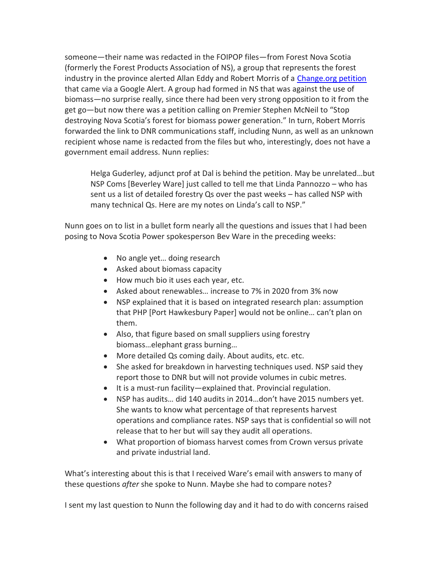someone—their name was redacted in the FOIPOP files—from Forest Nova Scotia (formerly the Forest Products Association of NS), a group that represents the forest industry in the province alerted Allan Eddy and Robert Morris of a [Change.org petition](https://www.change.org/p/premier-stephen-mcneil-stop-destroying-nova-scotia-s-forest-for-biomass-power-generation) that came via a Google Alert. A group had formed in NS that was against the use of biomass—no surprise really, since there had been very strong opposition to it from the get go—but now there was a petition calling on Premier Stephen McNeil to "Stop destroying Nova Scotia's forest for biomass power generation." In turn, Robert Morris forwarded the link to DNR communications staff, including Nunn, as well as an unknown recipient whose name is redacted from the files but who, interestingly, does not have a government email address. Nunn replies:

Helga Guderley, adjunct prof at Dal is behind the petition. May be unrelated…but NSP Coms [Beverley Ware] just called to tell me that Linda Pannozzo – who has sent us a list of detailed forestry Qs over the past weeks – has called NSP with many technical Qs. Here are my notes on Linda's call to NSP."

Nunn goes on to list in a bullet form nearly all the questions and issues that I had been posing to Nova Scotia Power spokesperson Bev Ware in the preceding weeks:

- No angle yet... doing research
- Asked about biomass capacity
- How much bio it uses each year, etc.
- Asked about renewables… increase to 7% in 2020 from 3% now
- NSP explained that it is based on integrated research plan: assumption that PHP [Port Hawkesbury Paper] would not be online… can't plan on them.
- Also, that figure based on small suppliers using forestry biomass…elephant grass burning…
- More detailed Qs coming daily. About audits, etc. etc.
- She asked for breakdown in harvesting techniques used. NSP said they report those to DNR but will not provide volumes in cubic metres.
- It is a must-run facility—explained that. Provincial regulation.
- NSP has audits… did 140 audits in 2014…don't have 2015 numbers yet. She wants to know what percentage of that represents harvest operations and compliance rates. NSP says that is confidential so will not release that to her but will say they audit all operations.
- What proportion of biomass harvest comes from Crown versus private and private industrial land.

What's interesting about this is that I received Ware's email with answers to many of these questions *after* she spoke to Nunn. Maybe she had to compare notes?

I sent my last question to Nunn the following day and it had to do with concerns raised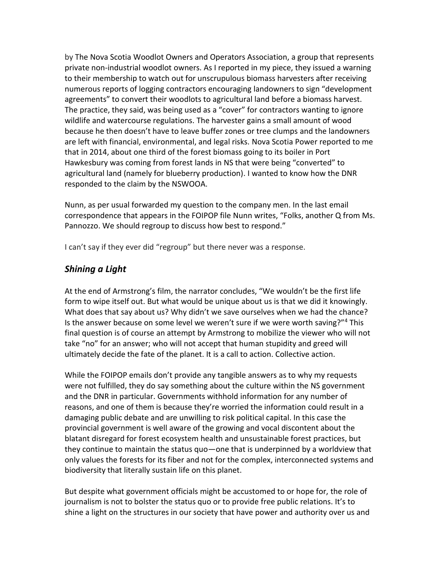by The Nova Scotia Woodlot Owners and Operators Association, a group that represents private non-industrial woodlot owners. As I reported in my piece, they issued a warning to their membership to watch out for unscrupulous biomass harvesters after receiving numerous reports of logging contractors encouraging landowners to sign "development agreements" to convert their woodlots to agricultural land before a biomass harvest. The practice, they said, was being used as a "cover" for contractors wanting to ignore wildlife and watercourse regulations. The harvester gains a small amount of wood because he then doesn't have to leave buffer zones or tree clumps and the landowners are left with financial, environmental, and legal risks. Nova Scotia Power reported to me that in 2014, about one third of the forest biomass going to its boiler in Port Hawkesbury was coming from forest lands in NS that were being "converted" to agricultural land (namely for blueberry production). I wanted to know how the DNR responded to the claim by the NSWOOA.

Nunn, as per usual forwarded my question to the company men. In the last email correspondence that appears in the FOIPOP file Nunn writes, "Folks, another Q from Ms. Pannozzo. We should regroup to discuss how best to respond."

I can't say if they ever did "regroup" but there never was a response.

### *Shining a Light*

At the end of Armstrong's film, the narrator concludes, "We wouldn't be the first life form to wipe itself out. But what would be unique about us is that we did it knowingly. What does that say about us? Why didn't we save ourselves when we had the chance? Is the answer because on some level we weren't sure if we were worth saving?"<sup>4</sup> This final question is of course an attempt by Armstrong to mobilize the viewer who will not take "no" for an answer; who will not accept that human stupidity and greed will ultimately decide the fate of the planet. It is a call to action. Collective action.

While the FOIPOP emails don't provide any tangible answers as to why my requests were not fulfilled, they do say something about the culture within the NS government and the DNR in particular. Governments withhold information for any number of reasons, and one of them is because they're worried the information could result in a damaging public debate and are unwilling to risk political capital. In this case the provincial government is well aware of the growing and vocal discontent about the blatant disregard for forest ecosystem health and unsustainable forest practices, but they continue to maintain the status quo—one that is underpinned by a worldview that only values the forests for its fiber and not for the complex, interconnected systems and biodiversity that literally sustain life on this planet.

But despite what government officials might be accustomed to or hope for, the role of journalism is not to bolster the status quo or to provide free public relations. It's to shine a light on the structures in our society that have power and authority over us and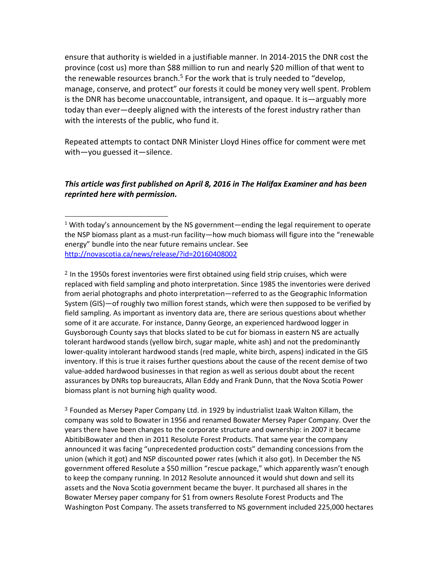ensure that authority is wielded in a justifiable manner. In 2014-2015 the DNR cost the province (cost us) more than \$88 million to run and nearly \$20 million of that went to the renewable resources branch.<sup>5</sup> For the work that is truly needed to "develop, manage, conserve, and protect" our forests it could be money very well spent. Problem is the DNR has become unaccountable, intransigent, and opaque. It is—arguably more today than ever—deeply aligned with the interests of the forest industry rather than with the interests of the public, who fund it.

Repeated attempts to contact DNR Minister Lloyd Hines office for comment were met with—you guessed it—silence.

#### *This article was first published on April 8, 2016 in The Halifax Examiner and has been reprinted here with permission.*

 $\overline{a}$ 

 $<sup>2</sup>$  In the 1950s forest inventories were first obtained using field strip cruises, which were</sup> replaced with field sampling and photo interpretation. Since 1985 the inventories were derived from aerial photographs and photo interpretation—referred to as the Geographic Information System (GIS)—of roughly two million forest stands, which were then supposed to be verified by field sampling. As important as inventory data are, there are serious questions about whether some of it are accurate. For instance, Danny George, an experienced hardwood logger in Guysborough County says that blocks slated to be cut for biomass in eastern NS are actually tolerant hardwood stands (yellow birch, sugar maple, white ash) and not the predominantly lower-quality intolerant hardwood stands (red maple, white birch, aspens) indicated in the GIS inventory. If this is true it raises further questions about the cause of the recent demise of two value-added hardwood businesses in that region as well as serious doubt about the recent assurances by DNRs top bureaucrats, Allan Eddy and Frank Dunn, that the Nova Scotia Power biomass plant is not burning high quality wood.

<sup>3</sup> Founded as Mersey Paper Company Ltd. in 1929 by industrialist Izaak Walton Killam, the company was sold to Bowater in 1956 and renamed Bowater Mersey Paper Company. Over the years there have been changes to the corporate structure and ownership: in 2007 it became AbitibiBowater and then in 2011 Resolute Forest Products. That same year the company announced it was facing "unprecedented production costs" demanding concessions from the union (which it got) and NSP discounted power rates (which it also got). In December the NS government offered Resolute a \$50 million "rescue package," which apparently wasn't enough to keep the company running. In 2012 Resolute announced it would shut down and sell its assets and the Nova Scotia government became the buyer. It purchased all shares in the Bowater Mersey paper company for \$1 from owners Resolute Forest Products and The Washington Post Company. The assets transferred to NS government included 225,000 hectares

 $1$  With today's announcement by the NS government—ending the legal requirement to operate the NSP biomass plant as a must-run facility—how much biomass will figure into the "renewable energy" bundle into the near future remains unclear. See <http://novascotia.ca/news/release/?id=20160408002>